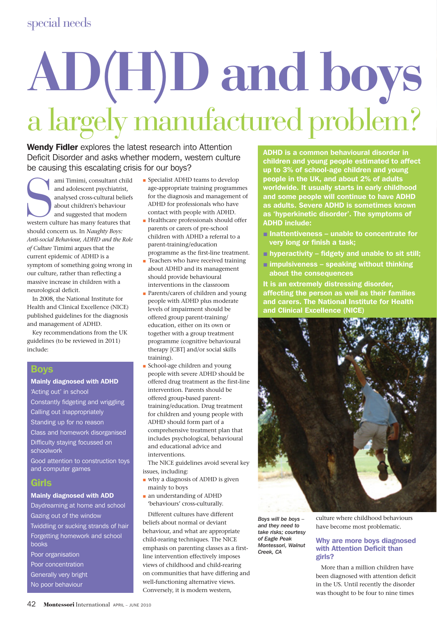# **AD(H)D and boys** a largely manufactured problem?

Wendy Fidler explores the latest research into Attention Deficit Disorder and asks whether modern, western culture be causing this escalating crisis for our boys?

ami Timimi, consultant child<br>
and adolescent psychiatrist,<br>
analysed cross-cultural belief<br>
about children's behaviour<br>
and suggested that modern<br>
western culture has many features that ami Timimi, consultant child and adolescent psychiatrist, analysed cross-cultural beliefs about children's behaviour and suggested that modern should concern us. In *Naughty Boys: Anti-social Behaviour, ADHD and the Role of Culture* Timimi argues that the current epidemic of ADHD is a symptom of something going wrong in our culture, rather than reflecting a massive increase in children with a neurological deficit.

In 2008, the National Institute for Health and Clinical Excellence (NICE) published guidelines for the diagnosis and management of ADHD.

Key recommendations from the UK guidelines (to be reviewed in 2011) include:

### Boys

Mainly diagnosed with ADHD 'Acting out' in school Constantly fidgeting and wriggling Calling out inappropriately Standing up for no reason Class and homework disorganised Difficulty staying focussed on schoolwork

Good attention to construction toys and computer games

## **Girls**

Mainly diagnosed with ADD

Daydreaming at home and school Gazing out of the window Twiddling or sucking strands of hair Forgetting homework and school books Poor organisation Poor concentration

Generally very bright

No poor behaviour

- **Specialist ADHD teams to develop** age-appropriate training programmes for the diagnosis and management of ADHD for professionals who have contact with people with ADHD.
- Healthcare professionals should offer parents or carers of pre-school children with ADHD a referral to a parent-training/education programme as the first-line treatment.
- Teachers who have received training about ADHD and its management should provide behavioural interventions in the classroom
- Parents/carers of children and young people with ADHD plus moderate levels of impairment should be offered group parent-training/ education, either on its own or together with a group treatment programme (cognitive behavioural therapy [CBT] and/or social skills training).
- **School-age children and young** people with severe ADHD should be offered drug treatment as the first-line intervention. Parents should be offered group-based parenttraining/education. Drug treatment for children and young people with ADHD should form part of a comprehensive treatment plan that includes psychological, behavioural and educational advice and interventions.

The NICE guidelines avoid several key issues, including:

- why a diagnosis of ADHD is given mainly to boys
- an understanding of ADHD 'behaviours' cross-culturally.

Different cultures have different beliefs about normal or deviant behaviour, and what are appropriate child-rearing techniques. The NICE emphasis on parenting classes as a firstline intervention effectively imposes views of childhood and child-rearing on communities that have differing and well-functioning alternative views. Conversely, it is modern western,

ADHD is a common behavioural disorder in children and young people estimated to affect up to 3% of school-age children and young people in the UK, and about 2% of adults worldwide. It usually starts in early childhood and some people will continue to have ADHD as adults. Severe ADHD is sometimes known as 'hyperkinetic disorder'. The symptoms of ADHD include:

- $\blacksquare$  Inattentiveness unable to concentrate for very long or finish a task;
- $\blacksquare$  hyperactivity fidgety and unable to sit still;
- $\blacksquare$  impulsiveness speaking without thinking about the consequences

It is an extremely distressing disorder, affecting the person as well as their families and carers. The National Institute for Health and Clinical Excellence (NICE)



*Boys will be boys – and they need to take risks; courtesy of Eagle Peak Montessori, Walnut Creek, CA*

culture where childhood behaviours have become most problematic.

#### Why are more boys diagnosed with Attention Deficit than girls?

More than a million children have been diagnosed with attention deficit in the US. Until recently the disorder was thought to be four to nine times